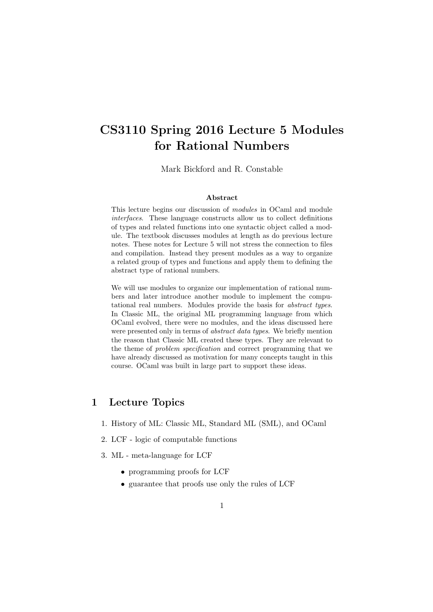# CS3110 Spring 2016 Lecture 5 Modules for Rational Numbers

Mark Bickford and R. Constable

#### Abstract

This lecture begins our discussion of modules in OCaml and module interfaces. These language constructs allow us to collect definitions of types and related functions into one syntactic object called a module. The textbook discusses modules at length as do previous lecture notes. These notes for Lecture 5 will not stress the connection to files and compilation. Instead they present modules as a way to organize a related group of types and functions and apply them to defining the abstract type of rational numbers.

We will use modules to organize our implementation of rational numbers and later introduce another module to implement the computational real numbers. Modules provide the basis for abstract types. In Classic ML, the original ML programming language from which OCaml evolved, there were no modules, and the ideas discussed here were presented only in terms of abstract data types. We briefly mention the reason that Classic ML created these types. They are relevant to the theme of problem specification and correct programming that we have already discussed as motivation for many concepts taught in this course. OCaml was built in large part to support these ideas.

#### 1 Lecture Topics

- 1. History of ML: Classic ML, Standard ML (SML), and OCaml
- 2. LCF logic of computable functions
- 3. ML meta-language for LCF
	- programming proofs for LCF
	- guarantee that proofs use only the rules of LCF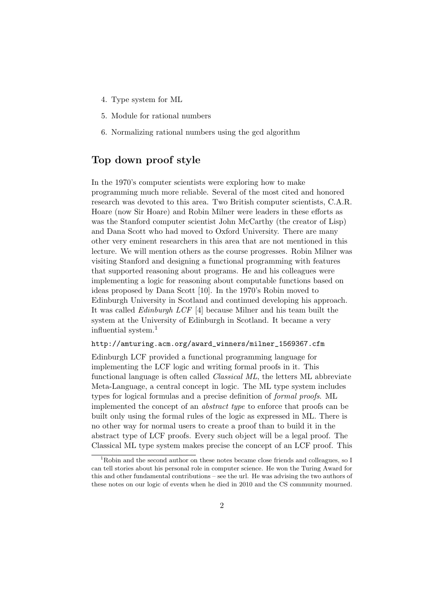- 4. Type system for ML
- 5. Module for rational numbers
- 6. Normalizing rational numbers using the gcd algorithm

#### Top down proof style

In the 1970's computer scientists were exploring how to make programming much more reliable. Several of the most cited and honored research was devoted to this area. Two British computer scientists, C.A.R. Hoare (now Sir Hoare) and Robin Milner were leaders in these efforts as was the Stanford computer scientist John McCarthy (the creator of Lisp) and Dana Scott who had moved to Oxford University. There are many other very eminent researchers in this area that are not mentioned in this lecture. We will mention others as the course progresses. Robin Milner was visiting Stanford and designing a functional programming with features that supported reasoning about programs. He and his colleagues were implementing a logic for reasoning about computable functions based on ideas proposed by Dana Scott [10]. In the 1970's Robin moved to Edinburgh University in Scotland and continued developing his approach. It was called Edinburgh LCF [4] because Milner and his team built the system at the University of Edinburgh in Scotland. It became a very influential system.<sup>1</sup>

#### http://amturing.acm.org/award\_winners/milner\_1569367.cfm

Edinburgh LCF provided a functional programming language for implementing the LCF logic and writing formal proofs in it. This functional language is often called Classical ML, the letters ML abbreviate Meta-Language, a central concept in logic. The ML type system includes types for logical formulas and a precise definition of formal proofs. ML implemented the concept of an abstract type to enforce that proofs can be built only using the formal rules of the logic as expressed in ML. There is no other way for normal users to create a proof than to build it in the abstract type of LCF proofs. Every such object will be a legal proof. The Classical ML type system makes precise the concept of an LCF proof. This

<sup>&</sup>lt;sup>1</sup>Robin and the second author on these notes became close friends and colleagues, so I can tell stories about his personal role in computer science. He won the Turing Award for this and other fundamental contributions – see the url. He was advising the two authors of these notes on our logic of events when he died in 2010 and the CS community mourned.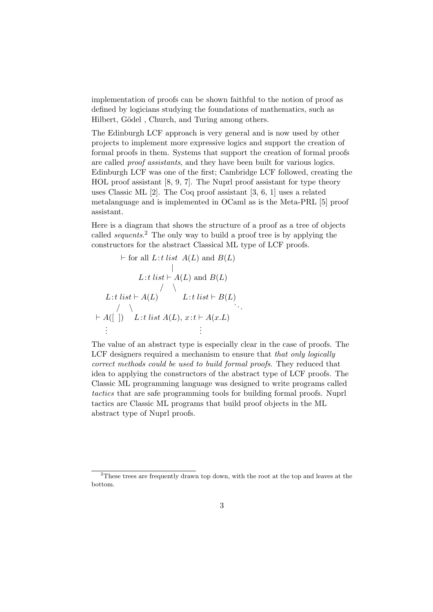implementation of proofs can be shown faithful to the notion of proof as defined by logicians studying the foundations of mathematics, such as Hilbert, Gödel, Church, and Turing among others.

The Edinburgh LCF approach is very general and is now used by other projects to implement more expressive logics and support the creation of formal proofs in them. Systems that support the creation of formal proofs are called proof assistants, and they have been built for various logics. Edinburgh LCF was one of the first; Cambridge LCF followed, creating the HOL proof assistant [8, 9, 7]. The Nuprl proof assistant for type theory uses Classic ML [2]. The Coq proof assistant [3, 6, 1] uses a related metalanguage and is implemented in OCaml as is the Meta-PRL [5] proof assistant.

Here is a diagram that shows the structure of a proof as a tree of objects called *sequents*.<sup>2</sup> The only way to build a proof tree is by applying the constructors for the abstract Classical ML type of LCF proofs.

$$
\vdash \text{for all } L: t \text{ list } A(L) \text{ and } B(L)
$$
\n
$$
\downarrow
$$
\n
$$
L: t \text{ list } \vdash A(L) \text{ and } B(L)
$$
\n
$$
\downarrow
$$
\n
$$
L: t \text{ list } \vdash A(L)
$$
\n
$$
\downarrow
$$
\n
$$
\vdash A([\ ]) \quad L: t \text{ list } A(L), x: t \vdash A(x.L)
$$
\n
$$
\vdots
$$

The value of an abstract type is especially clear in the case of proofs. The LCF designers required a mechanism to ensure that *that only logically* correct methods could be used to build formal proofs. They reduced that idea to applying the constructors of the abstract type of LCF proofs. The Classic ML programming language was designed to write programs called tactics that are safe programming tools for building formal proofs. Nuprl tactics are Classic ML programs that build proof objects in the ML abstract type of Nuprl proofs.

<sup>2</sup>These trees are frequently drawn top down, with the root at the top and leaves at the bottom.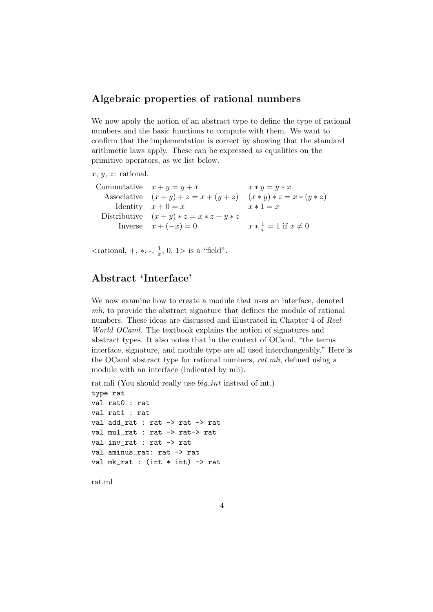### Algebraic properties of rational numbers

We now apply the notion of an abstract type to define the type of rational numbers and the basic functions to compute with them. We want to confirm that the implementation is correct by showing that the standard arithmetic laws apply. These can be expressed as equalities on the primitive operators, as we list below.

#### $x, y, z:$  rational.

| $x * y = y * x$                                                                                                                                |
|------------------------------------------------------------------------------------------------------------------------------------------------|
| $(x * y) * z = x * (y * z)$                                                                                                                    |
| $x * 1 = x$                                                                                                                                    |
|                                                                                                                                                |
| $x * \frac{1}{x} = 1$ if $x \neq 0$                                                                                                            |
| Commutative $x + y = y + x$<br>Associative $(x+y)+z=x+(y+z)$<br>Identity $x+0=x$<br>Distributive $(x+y)*z = x*z+y*z$<br>Inverse $x + (-x) = 0$ |

 $\langle$ rational, +,  $\ast$ , -,  $\frac{1}{x}$  $\frac{1}{x}$ , 0, 1> is a "field".

### Abstract 'Interface'

We now examine how to create a module that uses an interface, denoted mli, to provide the abstract signature that defines the module of rational numbers. These ideas are discussed and illustrated in Chapter 4 of Real World OCaml. The textbook explains the notion of signatures and abstract types. It also notes that in the context of OCaml, "the terms interface, signature, and module type are all used interchangeably." Here is the OCaml abstract type for rational numbers, rat.mli, defined using a module with an interface (indicated by mli).

rat.mli (You should really use *big\_int* instead of int.)

```
type rat
val rat0 : rat
val rat1 : rat
val add_rat : rat -> rat -> rat
val mul_rat : rat -> rat-> rat
val inv_rat : rat -> rat
val aminus_rat: rat -> rat
val mk\_rat : (int * int) \rightarrow rat
```
rat.ml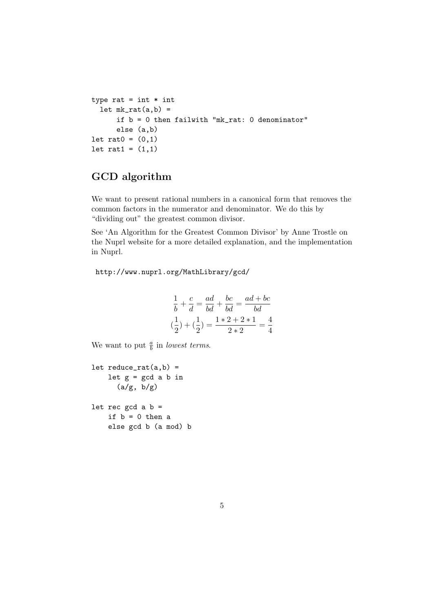```
type rat = int * intlet mk\_rat(a,b) =
      if b = 0 then failwith "mk_rat: 0 denominator"
      else (a,b)
let rat0 = (0,1)let rat1 = (1,1)
```
## GCD algorithm

We want to present rational numbers in a canonical form that removes the common factors in the numerator and denominator. We do this by "dividing out" the greatest common divisor.

See 'An Algorithm for the Greatest Common Divisor' by Anne Trostle on the Nuprl website for a more detailed explanation, and the implementation in Nuprl.

http://www.nuprl.org/MathLibrary/gcd/

$$
\frac{1}{b} + \frac{c}{d} = \frac{ad}{bd} + \frac{bc}{bd} = \frac{ad + bc}{bd}
$$

$$
(\frac{1}{2}) + (\frac{1}{2}) = \frac{1 \times 2 + 2 \times 1}{2 \times 2} = \frac{4}{4}
$$

We want to put  $\frac{a}{b}$  in *lowest terms*.

```
let reduce\_rat(a,b) =let g = gcd a b in(a/g, b/g)let rec gcd a b =if b = 0 then a
    else gcd b (a mod) b
```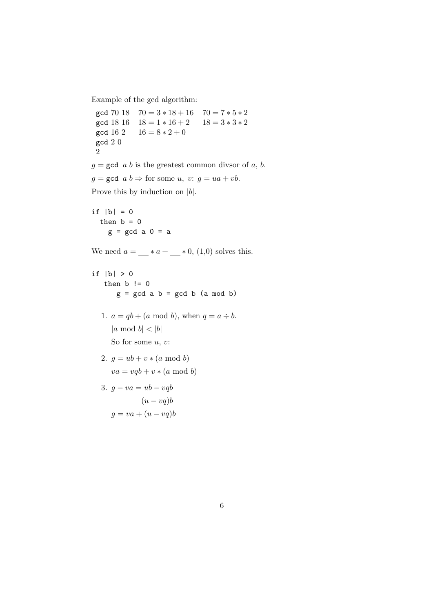Example of the gcd algorithm:

```
gcd 70 18 70 = 3 * 18 + 16 70 = 7 * 5 * 2gcd 18 16 18 = 1 * 16 + 2 18 = 3 * 3 * 2gcd 16 2 16 = 8 * 2 + 0gcd 2 0
 2
g = \gcd a b is the greatest common divsor of a, b.
g = \gcd a b \Rightarrow for some u, v: g = ua + vb.
Prove this by induction on |b|.
if |b| = 0then b = 0g = gcd a 0 = aWe need a = \_\_\ast a + \_\_\ast 0, (1,0) solves this.
if |b| > 0then b != 0
       g = \gcd a b = \gcd b (a mod b)
  1. a = qb + (a \mod b), when q = a \div b.
     |a \bmod b| < |b|So for some u, v:
  2. q = ub + v * (a \mod b)va = vqb + v * (a \mod b)3. q - va = ub - vqb
```

```
(u - vq)bq = va + (u - vq)b
```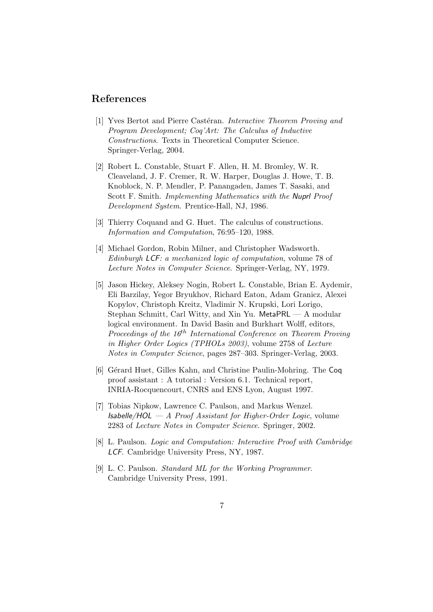### References

- [1] Yves Bertot and Pierre Castéran. Interactive Theorem Proving and Program Development; Coq'Art: The Calculus of Inductive Constructions. Texts in Theoretical Computer Science. Springer-Verlag, 2004.
- [2] Robert L. Constable, Stuart F. Allen, H. M. Bromley, W. R. Cleaveland, J. F. Cremer, R. W. Harper, Douglas J. Howe, T. B. Knoblock, N. P. Mendler, P. Panangaden, James T. Sasaki, and Scott F. Smith. Implementing Mathematics with the Nuprl Proof Development System. Prentice-Hall, NJ, 1986.
- [3] Thierry Coquand and G. Huet. The calculus of constructions. Information and Computation, 76:95–120, 1988.
- [4] Michael Gordon, Robin Milner, and Christopher Wadsworth. Edinburgh LCF: a mechanized logic of computation, volume 78 of Lecture Notes in Computer Science. Springer-Verlag, NY, 1979.
- [5] Jason Hickey, Aleksey Nogin, Robert L. Constable, Brian E. Aydemir, Eli Barzilay, Yegor Bryukhov, Richard Eaton, Adam Granicz, Alexei Kopylov, Christoph Kreitz, Vladimir N. Krupski, Lori Lorigo, Stephan Schmitt, Carl Witty, and Xin Yu. MetaPRL — A modular logical environment. In David Basin and Burkhart Wolff, editors, Proceedings of the  $16^{th}$  International Conference on Theorem Proving in Higher Order Logics (TPHOLs 2003), volume 2758 of Lecture Notes in Computer Science, pages 287–303. Springer-Verlag, 2003.
- [6] Gérard Huet, Gilles Kahn, and Christine Paulin-Mohring. The Coq proof assistant : A tutorial : Version 6.1. Technical report, INRIA-Rocquencourt, CNRS and ENS Lyon, August 1997.
- [7] Tobias Nipkow, Lawrence C. Paulson, and Markus Wenzel. **Isabelle/HOL**  $- A$  *Proof Assistant for Higher-Order Logic*, volume 2283 of Lecture Notes in Computer Science. Springer, 2002.
- [8] L. Paulson. Logic and Computation: Interactive Proof with Cambridge LCF. Cambridge University Press, NY, 1987.
- [9] L. C. Paulson. Standard ML for the Working Programmer. Cambridge University Press, 1991.